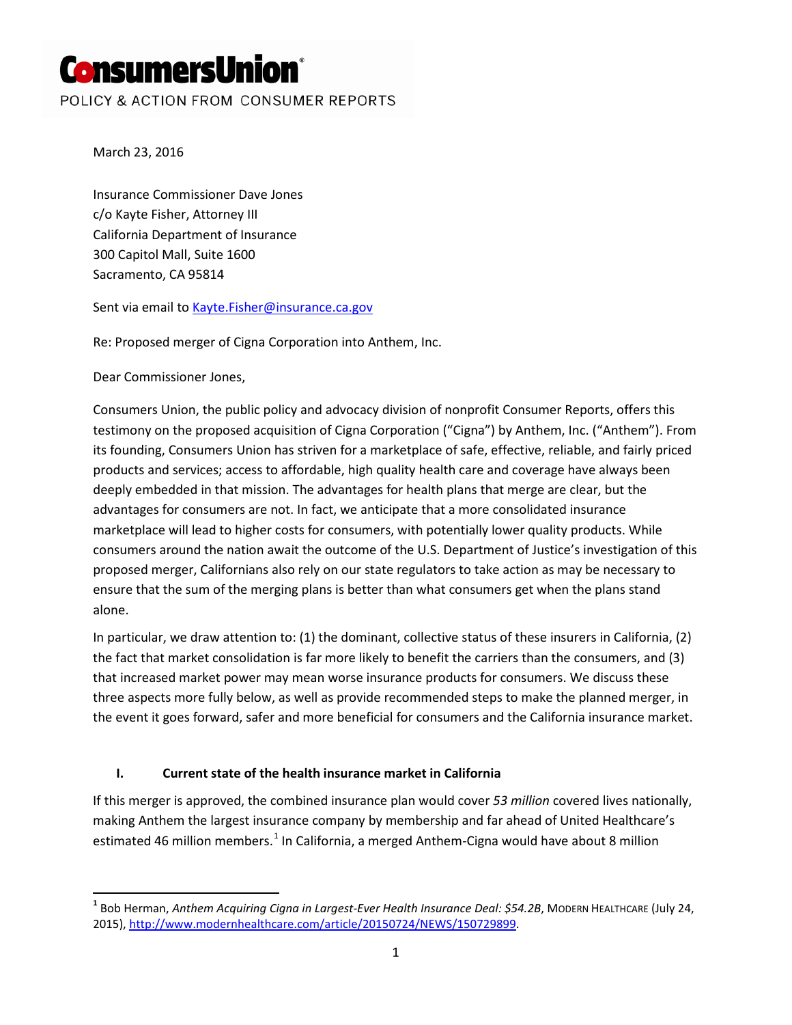# **ConsumersUnion**®

POLICY & ACTION FROM CONSUMER REPORTS

March 23, 2016

Insurance Commissioner Dave Jones c/o Kayte Fisher, Attorney III California Department of Insurance 300 Capitol Mall, Suite 1600 Sacramento, CA 95814

Sent via email to [Kayte.Fisher@insurance.ca.gov](mailto:Kayte.Fisher@insurance.ca.gov)

Re: Proposed merger of Cigna Corporation into Anthem, Inc.

Dear Commissioner Jones,

 $\overline{\phantom{a}}$ 

Consumers Union, the public policy and advocacy division of nonprofit Consumer Reports, offers this testimony on the proposed acquisition of Cigna Corporation ("Cigna") by Anthem, Inc. ("Anthem"). From its founding, Consumers Union has striven for a marketplace of safe, effective, reliable, and fairly priced products and services; access to affordable, high quality health care and coverage have always been deeply embedded in that mission. The advantages for health plans that merge are clear, but the advantages for consumers are not. In fact, we anticipate that a more consolidated insurance marketplace will lead to higher costs for consumers, with potentially lower quality products. While consumers around the nation await the outcome of the U.S. Department of Justice's investigation of this proposed merger, Californians also rely on our state regulators to take action as may be necessary to ensure that the sum of the merging plans is better than what consumers get when the plans stand alone.

In particular, we draw attention to: (1) the dominant, collective status of these insurers in California, (2) the fact that market consolidation is far more likely to benefit the carriers than the consumers, and (3) that increased market power may mean worse insurance products for consumers. We discuss these three aspects more fully below, as well as provide recommended steps to make the planned merger, in the event it goes forward, safer and more beneficial for consumers and the California insurance market.

### **I. Current state of the health insurance market in California**

If this merger is approved, the combined insurance plan would cover *53 million* covered lives nationally, making Anthem the largest insurance company by membership and far ahead of United Healthcare's estimated 46 million members.<sup>[1](#page-0-0)</sup> In California, a merged Anthem-Cigna would have about 8 million

<span id="page-0-0"></span>**<sup>1</sup>** Bob Herman, *Anthem Acquiring Cigna in Largest-Ever Health Insurance Deal: \$54.2B*, MODERN HEALTHCARE (July 24, 2015), [http://www.modernhealthcare.com/article/20150724/NEWS/150729899.](http://www.modernhealthcare.com/article/20150724/NEWS/150729899)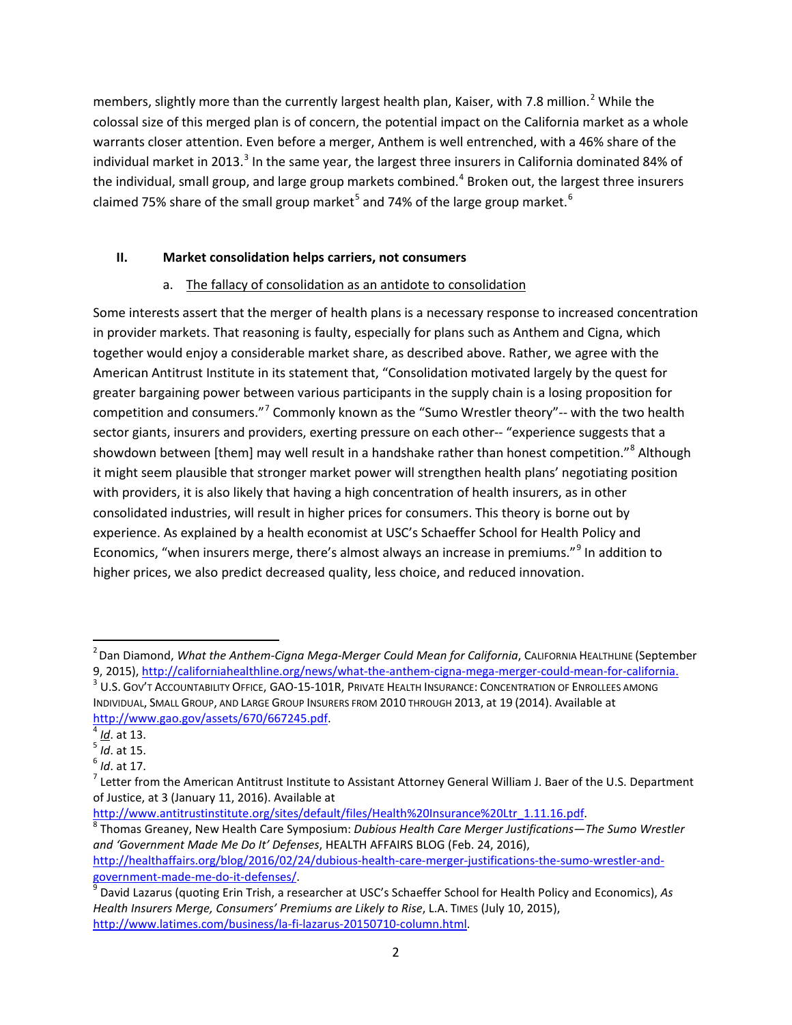members, slightly more than the currently largest health plan, Kaiser, with 7.8 million.<sup>[2](#page-1-0)</sup> While the colossal size of this merged plan is of concern, the potential impact on the California market as a whole warrants closer attention. Even before a merger, Anthem is well entrenched, with a 46% share of the individual market in 201[3](#page-1-1).<sup>3</sup> In the same year, the largest three insurers in California dominated 84% of the individual, small group, and large group markets combined.<sup>[4](#page-1-2)</sup> Broken out, the largest three insurers claimed 7[5](#page-1-3)% share of the small group market<sup>5</sup> and 74% of the large group market.<sup>[6](#page-1-4)</sup>

### **II. Market consolidation helps carriers, not consumers**

## a. The fallacy of consolidation as an antidote to consolidation

Some interests assert that the merger of health plans is a necessary response to increased concentration in provider markets. That reasoning is faulty, especially for plans such as Anthem and Cigna, which together would enjoy a considerable market share, as described above. Rather, we agree with the American Antitrust Institute in its statement that, "Consolidation motivated largely by the quest for greater bargaining power between various participants in the supply chain is a losing proposition for competition and consumers."[7](#page-1-5) Commonly known as the "Sumo Wrestler theory"-- with the two health sector giants, insurers and providers, exerting pressure on each other-- "experience suggests that a showdown between [them] may well result in a handshake rather than honest competition."<sup>[8](#page-1-6)</sup> Although it might seem plausible that stronger market power will strengthen health plans' negotiating position with providers, it is also likely that having a high concentration of health insurers, as in other consolidated industries, will result in higher prices for consumers. This theory is borne out by experience. As explained by a health economist at USC's Schaeffer School for Health Policy and Economics, "when insurers merge, there's almost always an increase in premiums."[9](#page-1-7) In addition to higher prices, we also predict decreased quality, less choice, and reduced innovation.

 $\overline{\phantom{a}}$ 

<span id="page-1-6"></span> $\textsuperscript{8}$  Thomas Greaney, New Health Care Symposium: *Dubious Health Care Merger Justifications—The Sumo Wrestler and 'Government Made Me Do It' Defenses*, HEALTH AFFAIRS BLOG (Feb. 24, 2016), [http://healthaffairs.org/blog/2016/02/24/dubious-health-care-merger-justifications-the-sumo-wrestler-and-](http://healthaffairs.org/blog/2016/02/24/dubious-health-care-merger-justifications-the-sumo-wrestler-and-government-made-me-do-it-defenses/)

<span id="page-1-0"></span><sup>2</sup> Dan Diamond, *What the Anthem-Cigna Mega-Merger Could Mean for California*, CALIFORNIA HEALTHLINE (September 9, 2015),<http://californiahealthline.org/news/what-the-anthem-cigna-mega-merger-could-mean-for-california.> <sup>3</sup> U.S. Gov't Accountability Office, GAO-15-101R, PRIVATE HEALTH INSURANCE: CONCENTRATION OF ENROLLEES AMONG

<span id="page-1-1"></span>INDIVIDUAL, SMALL GROUP, AND LARGE GROUP INSURERS FROM 2010 THROUGH 2013, at 19 (2014). Available at

<span id="page-1-3"></span>

<span id="page-1-5"></span><span id="page-1-4"></span>

<span id="page-1-2"></span>[http://www.gao.gov/assets/670/667245.pdf.](http://www.gao.gov/assets/670/667245.pdf)<br><sup>4</sup> *Id*. at 13.<br><sup>6</sup> *Id*. at 15.<br><sup>7</sup> Letter from the American Antitrust Institute to Assistant Attorney General William J. Baer of the U.S. Department of Justice, at 3 (January 11, 2016). Available at http://www.antitrustinstitute.org/sites/default/files/Health%20Insurance%20Ltr 1.11.16.pdf.

<span id="page-1-7"></span>[government-made-me-do-it-defenses/.](http://healthaffairs.org/blog/2016/02/24/dubious-health-care-merger-justifications-the-sumo-wrestler-and-government-made-me-do-it-defenses/)<br><sup>9</sup> David Lazarus (quoting Erin Trish, a researcher at USC's Schaeffer School for Health Policy and Economics), *As Health Insurers Merge, Consumers' Premiums are Likely to Rise*, L.A. TIMES (July 10, 2015), [http://www.latimes.com/business/la-fi-lazarus-20150710-column.html.](http://www.latimes.com/business/la-fi-lazarus-20150710-column.html)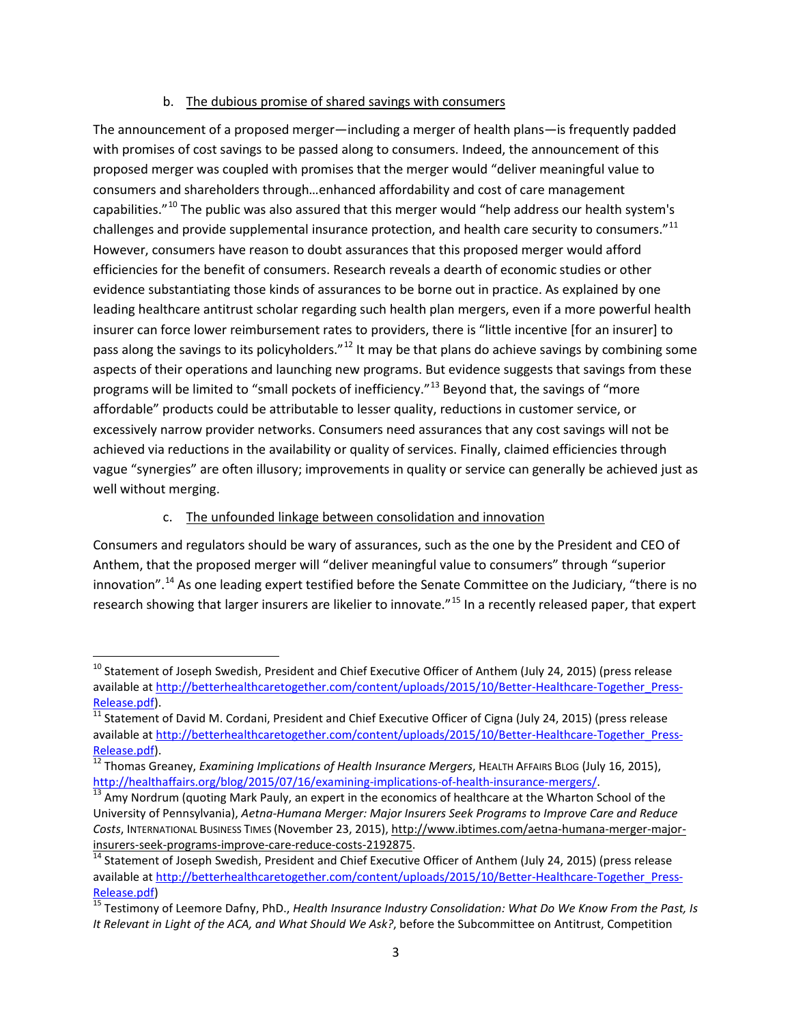#### b. The dubious promise of shared savings with consumers

The announcement of a proposed merger—including a merger of health plans—is frequently padded with promises of cost savings to be passed along to consumers. Indeed, the announcement of this proposed merger was coupled with promises that the merger would "deliver meaningful value to consumers and shareholders through…enhanced affordability and cost of care management capabilities."[10](#page-2-0) The public was also assured that this merger would "help address our health system's challenges and provide supplemental insurance protection, and health care security to consumers."<sup>[11](#page-2-1)</sup> However, consumers have reason to doubt assurances that this proposed merger would afford efficiencies for the benefit of consumers. Research reveals a dearth of economic studies or other evidence substantiating those kinds of assurances to be borne out in practice. As explained by one leading healthcare antitrust scholar regarding such health plan mergers, even if a more powerful health insurer can force lower reimbursement rates to providers, there is "little incentive [for an insurer] to pass along the savings to its policyholders."<sup>[12](#page-2-2)</sup> It may be that plans do achieve savings by combining some aspects of their operations and launching new programs. But evidence suggests that savings from these programs will be limited to "small pockets of inefficiency."<sup>[13](#page-2-3)</sup> Beyond that, the savings of "more affordable" products could be attributable to lesser quality, reductions in customer service, or excessively narrow provider networks. Consumers need assurances that any cost savings will not be achieved via reductions in the availability or quality of services. Finally, claimed efficiencies through vague "synergies" are often illusory; improvements in quality or service can generally be achieved just as well without merging.

### c. The unfounded linkage between consolidation and innovation

 $\overline{\phantom{a}}$ 

Consumers and regulators should be wary of assurances, such as the one by the President and CEO of Anthem, that the proposed merger will "deliver meaningful value to consumers" through "superior innovation".<sup>[14](#page-2-4)</sup> As one leading expert testified before the Senate Committee on the Judiciary, "there is no research showing that larger insurers are likelier to innovate."<sup>[15](#page-2-5)</sup> In a recently released paper, that expert

<span id="page-2-0"></span><sup>&</sup>lt;sup>10</sup> Statement of Joseph Swedish, President and Chief Executive Officer of Anthem (July 24, 2015) (press release available a[t http://betterhealthcaretogether.com/content/uploads/2015/10/Better-Healthcare-Together\\_Press-](http://betterhealthcaretogether.com/content/uploads/2015/10/Better-Healthcare-Together_Press-Release.pdf)

<span id="page-2-1"></span>[Release.pdf\)](http://betterhealthcaretogether.com/content/uploads/2015/10/Better-Healthcare-Together_Press-Release.pdf).<br><sup>11</sup> Statement of David M. Cordani, President and Chief Executive Officer of Cigna (July 24, 2015) (press release available a[t http://betterhealthcaretogether.com/content/uploads/2015/10/Better-Healthcare-Together\\_Press-](http://betterhealthcaretogether.com/content/uploads/2015/10/Better-Healthcare-Together_Press-Release.pdf)

<span id="page-2-2"></span>[Release.pdf\)](http://betterhealthcaretogether.com/content/uploads/2015/10/Better-Healthcare-Together_Press-Release.pdf). <sup>12</sup> Thomas Greaney, *Examining Implications of Health Insurance Mergers*, HEALTH AFFAIRS BLOG (July 16, 2015),

<span id="page-2-3"></span>[http://healthaffairs.org/blog/2015/07/16/examining-implications-of-health-insurance-mergers/.](http://healthaffairs.org/blog/2015/07/16/examining-implications-of-health-insurance-mergers/)<br><sup>13</sup> Amy Nordrum (quoting Mark Pauly, an expert in the economics of healthcare at the Wharton School of the University of Pennsylvania), *Aetna-Humana Merger: Major Insurers Seek Programs to Improve Care and Reduce Costs*, INTERNATIONAL BUSINESS TIMES (November 23, 2015), [http://www.ibtimes.com/aetna-humana-merger-major-](http://www.ibtimes.com/aetna-humana-merger-major-insurers-seek-programs-improve-care-reduce-costs-2192875)

<span id="page-2-4"></span> $\frac{14}{14}$  Statement of Joseph Swedish, President and Chief Executive Officer of Anthem (July 24, 2015) (press release available a[t http://betterhealthcaretogether.com/content/uploads/2015/10/Better-Healthcare-Together\\_Press-](http://betterhealthcaretogether.com/content/uploads/2015/10/Better-Healthcare-Together_Press-Release.pdf)

<span id="page-2-5"></span>[Release.pdf\)](http://betterhealthcaretogether.com/content/uploads/2015/10/Better-Healthcare-Together_Press-Release.pdf)<br><sup>15</sup> Testimony of Leemore Dafny, PhD., *Health Insurance Industry Consolidation: What Do We Know From the Past, Is It Relevant in Light of the ACA, and What Should We Ask?*, before the Subcommittee on Antitrust, Competition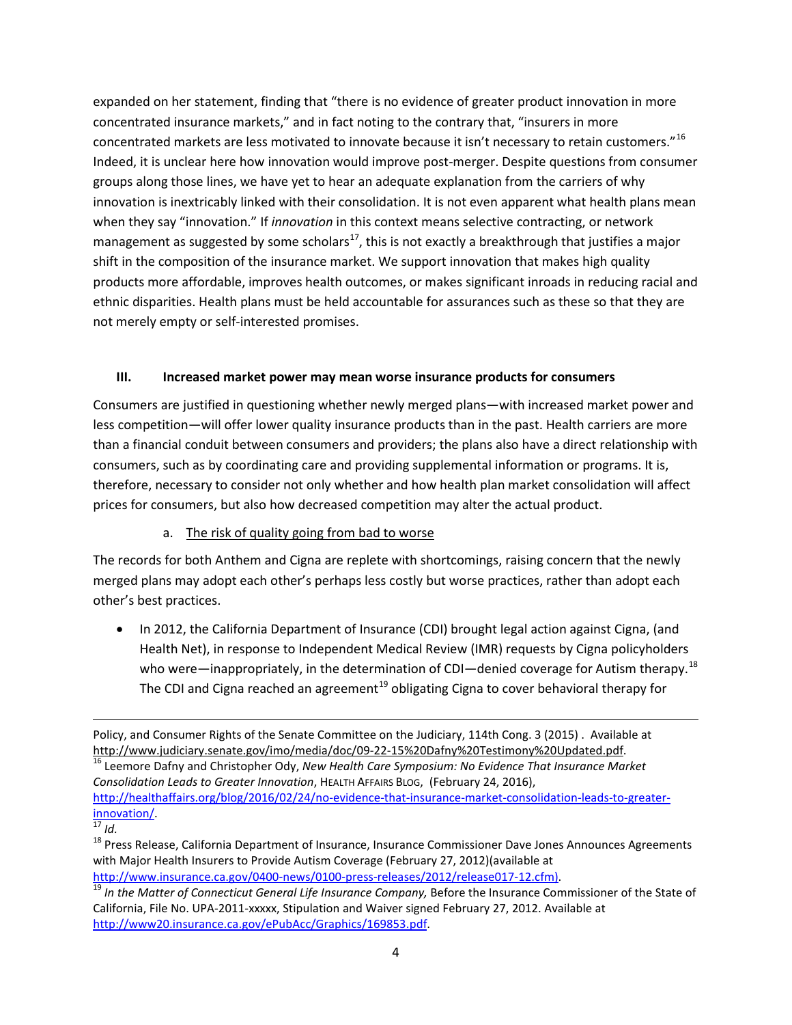expanded on her statement, finding that "there is no evidence of greater product innovation in more concentrated insurance markets," and in fact noting to the contrary that, "insurers in more concentrated markets are less motivated to innovate because it isn't necessary to retain customers."<sup>[16](#page-3-0)</sup> Indeed, it is unclear here how innovation would improve post-merger. Despite questions from consumer groups along those lines, we have yet to hear an adequate explanation from the carriers of why innovation is inextricably linked with their consolidation. It is not even apparent what health plans mean when they say "innovation." If *innovation* in this context means selective contracting, or network management as suggested by some scholars<sup>17</sup>, this is not exactly a breakthrough that justifies a major shift in the composition of the insurance market. We support innovation that makes high quality products more affordable, improves health outcomes, or makes significant inroads in reducing racial and ethnic disparities. Health plans must be held accountable for assurances such as these so that they are not merely empty or self-interested promises.

## **III. Increased market power may mean worse insurance products for consumers**

Consumers are justified in questioning whether newly merged plans—with increased market power and less competition—will offer lower quality insurance products than in the past. Health carriers are more than a financial conduit between consumers and providers; the plans also have a direct relationship with consumers, such as by coordinating care and providing supplemental information or programs. It is, therefore, necessary to consider not only whether and how health plan market consolidation will affect prices for consumers, but also how decreased competition may alter the actual product.

## a. The risk of quality going from bad to worse

The records for both Anthem and Cigna are replete with shortcomings, raising concern that the newly merged plans may adopt each other's perhaps less costly but worse practices, rather than adopt each other's best practices.

• In 2012, the California Department of Insurance (CDI) brought legal action against Cigna, (and Health Net), in response to Independent Medical Review (IMR) requests by Cigna policyholders who were—inappropriately, in the determination of CDI—denied coverage for Autism therapy.<sup>[18](#page-3-2)</sup> The CDI and Cigna reached an agreement<sup>[19](#page-3-3)</sup> obligating Cigna to cover behavioral therapy for

Policy, and Consumer Rights of the Senate Committee on the Judiciary, 114th Cong. 3 (2015) . Available at [http://www.judiciary.senate.gov/imo/media/doc/09-22-15%20Dafny%20Testimony%20Updated.pdf.](http://www.judiciary.senate.gov/imo/media/doc/09-22-15%20Dafny%20Testimony%20Updated.pdf)<br><sup>[16](http://www.judiciary.senate.gov/imo/media/doc/09-22-15%20Dafny%20Testimony%20Updated.pdf)</sup> Leemore Dafny and Christopher Ody, *New Health Care Symposium: No Evidence That Insurance Market*  $\overline{\phantom{a}}$ 

<span id="page-3-0"></span>*Consolidation Leads to Greater Innovation*, HEALTH AFFAIRS BLOG, (February 24, 2016), [http://healthaffairs.org/blog/2016/02/24/no-evidence-that-insurance-market-consolidation-leads-to-greater](http://healthaffairs.org/blog/2016/02/24/no-evidence-that-insurance-market-consolidation-leads-to-greater-innovation/)[innovation/. 17](http://healthaffairs.org/blog/2016/02/24/no-evidence-that-insurance-market-consolidation-leads-to-greater-innovation/) *Id.*

<span id="page-3-2"></span><span id="page-3-1"></span><sup>&</sup>lt;sup>18</sup> Press Release, California Department of Insurance, Insurance Commissioner Dave Jones Announces Agreements with Major Health Insurers to Provide Autism Coverage (February 27, 2012)(available at

<span id="page-3-3"></span>[http://www.insurance.ca.gov/0400-news/0100-press-releases/2012/release017-12.cfm\)](http://www.insurance.ca.gov/0400-news/0100-press-releases/2012/release017-12.cfm). [19](http://www.insurance.ca.gov/0400-news/0100-press-releases/2012/release017-12.cfm) *In the Matter of Connecticut General Life Insurance Company,* Before the Insurance Commissioner of the State of California, File No. UPA-2011-xxxxx, Stipulation and Waiver signed February 27, 2012. Available at [http://www20.insurance.ca.gov/ePubAcc/Graphics/169853.pdf.](http://www20.insurance.ca.gov/ePubAcc/Graphics/169853.pdf)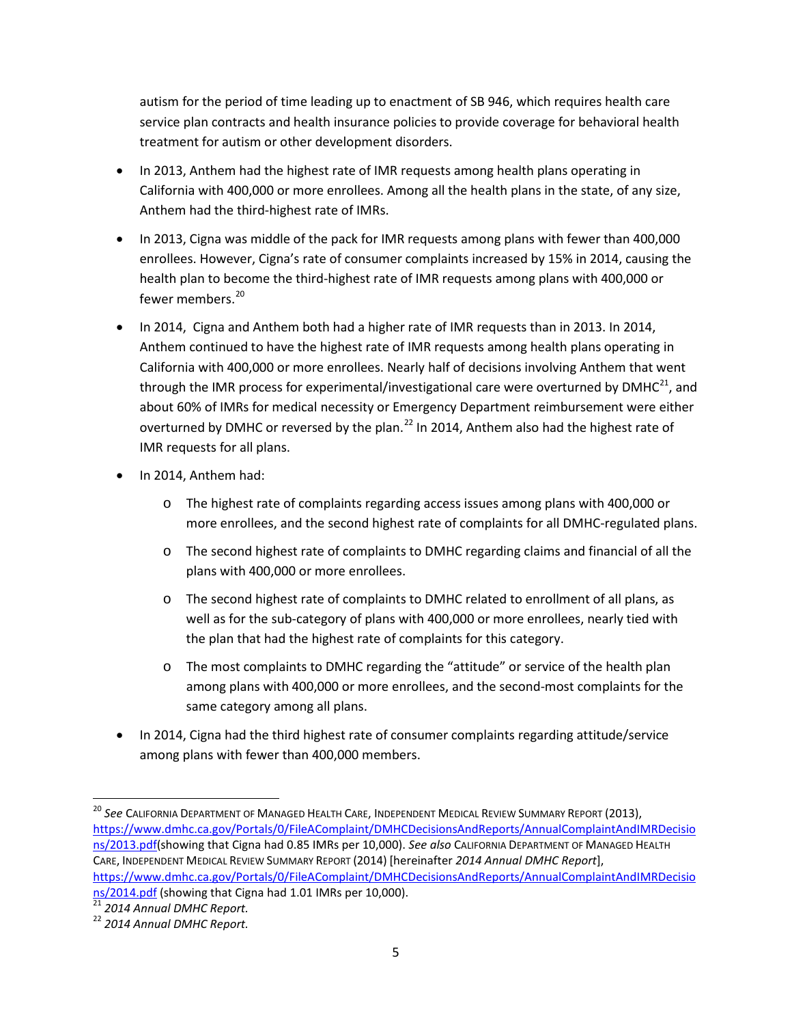autism for the period of time leading up to enactment of SB 946, which requires health care service plan contracts and health insurance policies to provide coverage for behavioral health treatment for autism or other development disorders.

- In 2013, Anthem had the highest rate of IMR requests among health plans operating in California with 400,000 or more enrollees. Among all the health plans in the state, of any size, Anthem had the third-highest rate of IMRs.
- In 2013, Cigna was middle of the pack for IMR requests among plans with fewer than 400,000 enrollees. However, Cigna's rate of consumer complaints increased by 15% in 2014, causing the health plan to become the third-highest rate of IMR requests among plans with 400,000 or fewer members. [20](#page-4-0)
- In 2014, Cigna and Anthem both had a higher rate of IMR requests than in 2013. In 2014, Anthem continued to have the highest rate of IMR requests among health plans operating in California with 400,000 or more enrollees. Nearly half of decisions involving Anthem that went through the IMR process for experimental/investigational care were overturned by  $DMHC^{21}$  $DMHC^{21}$  $DMHC^{21}$ , and about 60% of IMRs for medical necessity or Emergency Department reimbursement were either overturned by DMHC or reversed by the plan.<sup>[22](#page-4-2)</sup> In 2014, Anthem also had the highest rate of IMR requests for all plans.
- In 2014, Anthem had:
	- o The highest rate of complaints regarding access issues among plans with 400,000 or more enrollees, and the second highest rate of complaints for all DMHC-regulated plans.
	- o The second highest rate of complaints to DMHC regarding claims and financial of all the plans with 400,000 or more enrollees.
	- o The second highest rate of complaints to DMHC related to enrollment of all plans, as well as for the sub-category of plans with 400,000 or more enrollees, nearly tied with the plan that had the highest rate of complaints for this category.
	- o The most complaints to DMHC regarding the "attitude" or service of the health plan among plans with 400,000 or more enrollees, and the second-most complaints for the same category among all plans.
- In 2014, Cigna had the third highest rate of consumer complaints regarding attitude/service among plans with fewer than 400,000 members.

l

<span id="page-4-0"></span><sup>20</sup> *See* CALIFORNIA DEPARTMENT OF MANAGED HEALTH CARE, INDEPENDENT MEDICAL REVIEW SUMMARY REPORT (2013), [https://www.dmhc.ca.gov/Portals/0/FileAComplaint/DMHCDecisionsAndReports/AnnualComplaintAndIMRDecisio](https://www.dmhc.ca.gov/Portals/0/FileAComplaint/DMHCDecisionsAndReports/AnnualComplaintAndIMRDecisions/2013.pdf) [ns/2013.pdf\(](https://www.dmhc.ca.gov/Portals/0/FileAComplaint/DMHCDecisionsAndReports/AnnualComplaintAndIMRDecisions/2013.pdf)showing that Cigna had 0.85 IMRs per 10,000). *See also* CALIFORNIA DEPARTMENT OF MANAGED HEALTH CARE, INDEPENDENT MEDICAL REVIEW SUMMARY REPORT (2014) [hereinafter *2014 Annual DMHC Report*], [https://www.dmhc.ca.gov/Portals/0/FileAComplaint/DMHCDecisionsAndReports/AnnualComplaintAndIMRDecisio](https://www.dmhc.ca.gov/Portals/0/FileAComplaint/DMHCDecisionsAndReports/AnnualComplaintAndIMRDecisions/2014.pdf) ns/2014.pdf [\(](https://www.dmhc.ca.gov/Portals/0/FileAComplaint/DMHCDecisionsAndReports/AnnualComplaintAndIMRDecisions/2014.pdf)showing that Cigna had 1.01 IMRs per 10,000). [21](https://www.dmhc.ca.gov/Portals/0/FileAComplaint/DMHCDecisionsAndReports/AnnualComplaintAndIMRDecisions/2014.pdf) *<sup>2014</sup> Annual DMHC Report.*

<span id="page-4-1"></span>

<span id="page-4-2"></span><sup>22</sup> *2014 Annual DMHC Report.*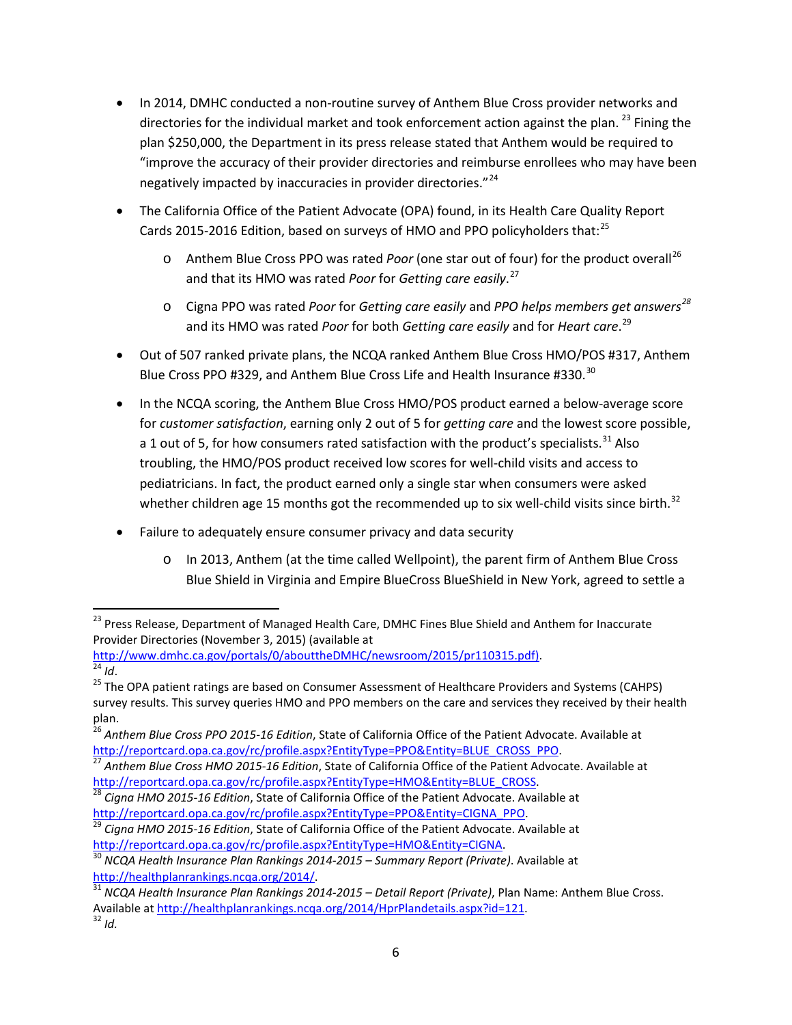- In 2014, DMHC conducted a non-routine survey of Anthem Blue Cross provider networks and directories for the individual market and took enforcement action against the plan.<sup>[23](#page-5-0)</sup> Fining the plan \$250,000, the Department in its press release stated that Anthem would be required to "improve the accuracy of their provider directories and reimburse enrollees who may have been negatively impacted by inaccuracies in provider directories."<sup>[24](#page-5-1)</sup>
- The California Office of the Patient Advocate (OPA) found, in its Health Care Quality Report Cards 2015-2016 Edition, based on surveys of HMO and PPO policyholders that:<sup>[25](#page-5-2)</sup>
	- o Anthem Blue Cross PPO was rated *Poor* (one star out of four) for the product overall<sup>[26](#page-5-3)</sup> and that its HMO was rated *Poor* for *Getting care easily*. [27](#page-5-4)
	- o Cigna PPO was rated *Poor* for *Getting care easily* and *PPO helps members get answers[28](#page-5-5)* and its HMO was rated *Poor* for both *Getting care easily* and for *Heart care*. [29](#page-5-6)
- Out of 507 ranked private plans, the NCQA ranked Anthem Blue Cross HMO/POS #317, Anthem Blue Cross PPO #329, and Anthem Blue Cross Life and Health Insurance #3[30](#page-5-7).<sup>30</sup>
- In the NCQA scoring, the Anthem Blue Cross HMO/POS product earned a below-average score for *customer satisfaction*, earning only 2 out of 5 for *getting care* and the lowest score possible, a 1 out of 5, for how consumers rated satisfaction with the product's specialists.  $31$  Also troubling, the HMO/POS product received low scores for well-child visits and access to pediatricians. In fact, the product earned only a single star when consumers were asked whether children age 15 months got the recommended up to six well-child visits since birth.<sup>[32](#page-5-9)</sup>
- Failure to adequately ensure consumer privacy and data security
	- o In 2013, Anthem (at the time called Wellpoint), the parent firm of Anthem Blue Cross Blue Shield in Virginia and Empire BlueCross BlueShield in New York, agreed to settle a

<span id="page-5-0"></span><sup>&</sup>lt;sup>23</sup> Press Release, Department of Managed Health Care, DMHC Fines Blue Shield and Anthem for Inaccurate Provider Directories (November 3, 2015) (available at<br>http://www.dmhc.ca.gov/portals/0/abouttheDMHC/newsroom/2015/pr110315.pdf).

<span id="page-5-2"></span><span id="page-5-1"></span>http://www.dmhc.ca.gov/portals.ca.gov/portals/0.<br><sup>24</sup> *Id.* 25 The OPA patient ratings are based on Consumer Assessment of Healthcare Providers and Systems (CAHPS) survey results. This survey queries HMO and PPO members on the care and services they received by their health plan.

<span id="page-5-3"></span><sup>26</sup> *Anthem Blue Cross PPO 2015-16 Edition*, State of California Office of the Patient Advocate. Available at

<span id="page-5-4"></span>[http://reportcard.opa.ca.gov/rc/profile.aspx?EntityType=PPO&Entity=BLUE\\_CROSS\\_PPO.](http://reportcard.opa.ca.gov/rc/profile.aspx?EntityType=PPO&Entity=BLUE_CROSS_PPO) [27](http://reportcard.opa.ca.gov/rc/profile.aspx?EntityType=PPO&Entity=BLUE_CROSS_PPO) *Anthem Blue Cross HMO 2015-16 Edition*, State of California Office of the Patient Advocate. Available at

<span id="page-5-5"></span>[http://reportcard.opa.ca.gov/rc/profile.aspx?EntityType=HMO&Entity=BLUE\\_CROSS.](http://reportcard.opa.ca.gov/rc/profile.aspx?EntityType=HMO&Entity=BLUE_CROSS) [28](http://reportcard.opa.ca.gov/rc/profile.aspx?EntityType=HMO&Entity=BLUE_CROSS) *Cigna HMO 2015-16 Edition*, State of California Office of the Patient Advocate. Available at [http://reportcard.opa.ca.gov/rc/profile.aspx?EntityType=PPO&Entity=CIGNA\\_PPO.](http://reportcard.opa.ca.gov/rc/profile.aspx?EntityType=PPO&Entity=CIGNA_PPO) [29](http://reportcard.opa.ca.gov/rc/profile.aspx?EntityType=PPO&Entity=CIGNA_PPO) *Cigna HMO 2015-16 Edition*, State of California Office of the Patient Advocate. Available at

<span id="page-5-6"></span>[http://reportcard.opa.ca.gov/rc/profile.aspx?EntityType=HMO&Entity=CIGNA.](http://reportcard.opa.ca.gov/rc/profile.aspx?EntityType=HMO&Entity=CIGNA) [30](http://reportcard.opa.ca.gov/rc/profile.aspx?EntityType=HMO&Entity=CIGNA) *NCQA Health Insurance Plan Rankings 2014-2015 – Summary Report (Private)*. Available at

<span id="page-5-7"></span>

<span id="page-5-9"></span><span id="page-5-8"></span>[http://healthplanrankings.ncqa.org/2014/.](http://healthplanrankings.ncqa.org/2014/)<br><sup>31</sup> NCQA Health Insurance Plan Rankings 2014-2015 – Detail Report (Private), Plan Name: Anthem Blue Cross. Available a[t http://healthplanrankings.ncqa.org/2014/HprPlandetails.aspx?id=121.](http://healthplanrankings.ncqa.org/2014/HprPlandetails.aspx?id=121) 32 *Id.*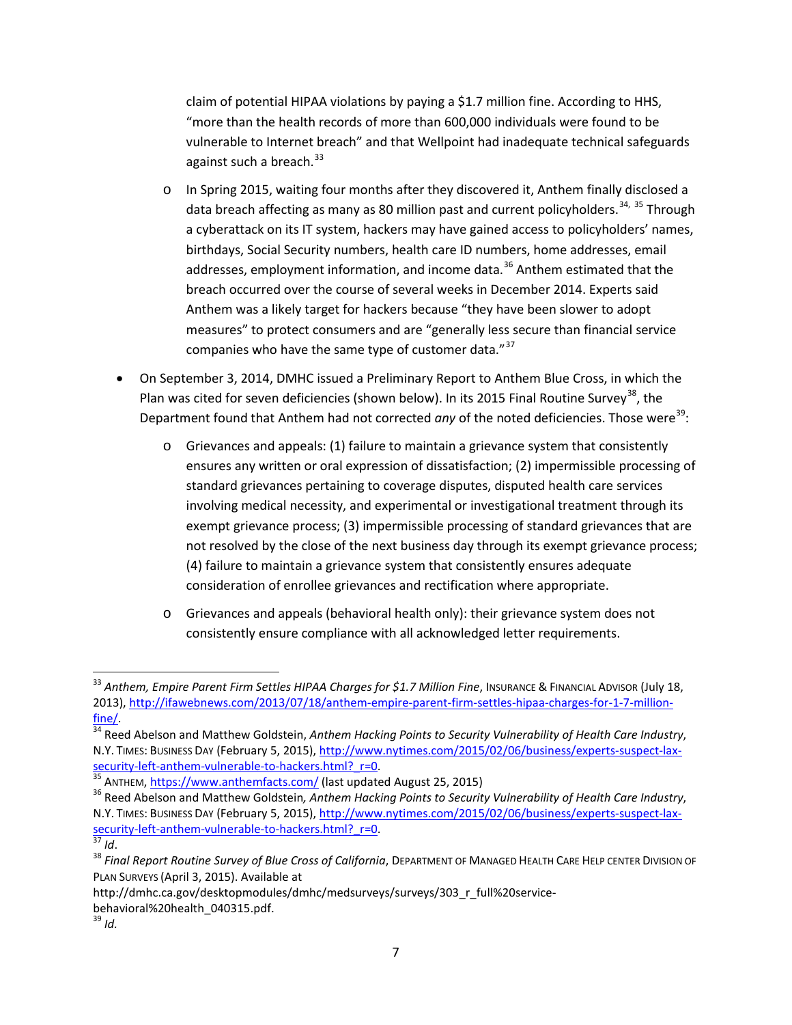claim of potential HIPAA violations by paying a \$1.7 million fine. According to HHS, "more than the health records of more than 600,000 individuals were found to be vulnerable to Internet breach" and that Wellpoint had inadequate technical safeguards against such a breach. $33$ 

- o In Spring 2015, waiting four months after they discovered it, Anthem finally disclosed a data breach affecting as many as 80 million past and current policyholders.<sup>[34,](#page-6-1) [35](#page-6-2)</sup> Through a cyberattack on its IT system, hackers may have gained access to policyholders' names, birthdays, Social Security numbers, health care ID numbers, home addresses, email addresses, employment information, and income data.<sup>[36](#page-6-3)</sup> Anthem estimated that the breach occurred over the course of several weeks in December 2014. Experts said Anthem was a likely target for hackers because "they have been slower to adopt measures" to protect consumers and are "generally less secure than financial service companies who have the same type of customer data."<sup>[37](#page-6-4)</sup>
- On September 3, 2014, DMHC issued a Preliminary Report to Anthem Blue Cross, in which the Plan was cited for seven deficiencies (shown below). In its 2015 Final Routine Survey<sup>[38](#page-6-5)</sup>, the Department found that Anthem had not corrected any of the noted deficiencies. Those were<sup>[39](#page-6-6)</sup>:
	- $\circ$  Grievances and appeals: (1) failure to maintain a grievance system that consistently ensures any written or oral expression of dissatisfaction; (2) impermissible processing of standard grievances pertaining to coverage disputes, disputed health care services involving medical necessity, and experimental or investigational treatment through its exempt grievance process; (3) impermissible processing of standard grievances that are not resolved by the close of the next business day through its exempt grievance process; (4) failure to maintain a grievance system that consistently ensures adequate consideration of enrollee grievances and rectification where appropriate.
	- o Grievances and appeals (behavioral health only): their grievance system does not consistently ensure compliance with all acknowledged letter requirements.

<span id="page-6-0"></span><sup>&</sup>lt;sup>33</sup> Anthem, Empire Parent Firm Settles HIPAA Charges for \$1.7 Million Fine, Insurance & Financıal Advisor (July 18, 2013), [http://ifawebnews.com/2013/07/18/anthem-empire-parent-firm-settles-hipaa-charges-for-1-7-million](http://ifawebnews.com/2013/07/18/anthem-empire-parent-firm-settles-hipaa-charges-for-1-7-million-fine/)[fine/. 34](http://ifawebnews.com/2013/07/18/anthem-empire-parent-firm-settles-hipaa-charges-for-1-7-million-fine/) Reed Abelson and Matthew Goldstein, *Anthem Hacking Points to Security Vulnerability of Health Care Industry*,

<span id="page-6-1"></span>N.Y. TIMES: BUSINESS DAY (February 5, 2015), [http://www.nytimes.com/2015/02/06/business/experts-suspect-lax](http://www.nytimes.com/2015/02/06/business/experts-suspect-lax-security-left-anthem-vulnerable-to-hackers.html?_r=0)Security-left-anthem-vulnerable-to-hackers.html? r=0.<br><sup>35</sup> ANTHEM, <https://www.anthemfacts.com/> (last updated August 25, 2015)<br><sup>36</sup> Reed Abelson and Matthew Goldstein*, Anthem Hacking Points to Security Vulnerability of He* 

<span id="page-6-3"></span><span id="page-6-2"></span>N.Y. TIMES: BUSINESS DAY (February 5, 2015), <u>http://www.nytimes.com/2015/02/06/business/experts-suspect-lax-</u><br>security-left-anthem-vulnerable-to-hackers.html? r=0.<br><sup>37</sup> Ld

<span id="page-6-5"></span><span id="page-6-4"></span><sup>&</sup>lt;sup>37</sup> Id.<br><sup>38</sup> Final Report Routine Survey of Blue Cross of California, DEPARTMENT OF MANAGED HEALTH CARE HELP CENTER DIVISION OF PLAN SURVEYS (April 3, 2015). Available at

<span id="page-6-6"></span>http://dmhc.ca.gov/desktopmodules/dmhc/medsurveys/surveys/303\_r\_full%20servicebehavioral%20health\_040315.pdf. <sup>39</sup> *Id.*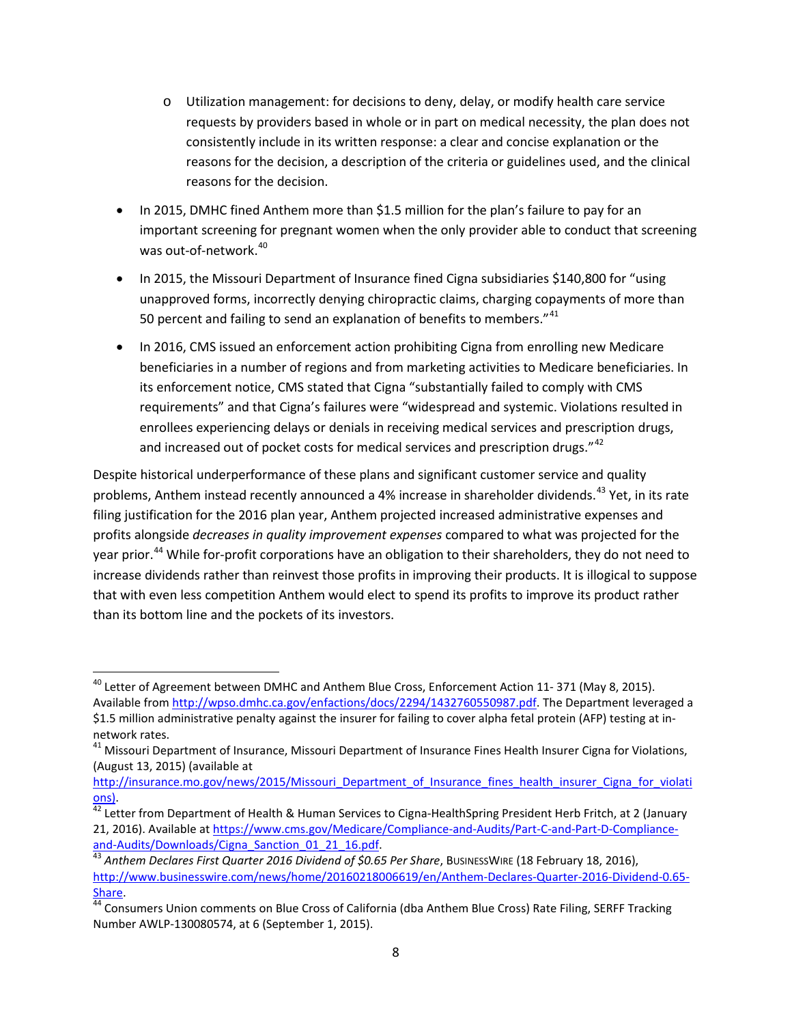- o Utilization management: for decisions to deny, delay, or modify health care service requests by providers based in whole or in part on medical necessity, the plan does not consistently include in its written response: a clear and concise explanation or the reasons for the decision, a description of the criteria or guidelines used, and the clinical reasons for the decision.
- In 2015, DMHC fined Anthem more than \$1.5 million for the plan's failure to pay for an important screening for pregnant women when the only provider able to conduct that screening was out-of-network.<sup>[40](#page-7-0)</sup>
- In 2015, the Missouri Department of Insurance fined Cigna subsidiaries \$140,800 for "using unapproved forms, incorrectly denying chiropractic claims, charging copayments of more than 50 percent and failing to send an explanation of benefits to members."<sup>[41](#page-7-1)</sup>
- In 2016, CMS issued an enforcement action prohibiting Cigna from enrolling new Medicare beneficiaries in a number of regions and from marketing activities to Medicare beneficiaries. In its enforcement notice, CMS stated that Cigna "substantially failed to comply with CMS requirements" and that Cigna's failures were "widespread and systemic. Violations resulted in enrollees experiencing delays or denials in receiving medical services and prescription drugs, and increased out of pocket costs for medical services and prescription drugs."<sup>[42](#page-7-2)</sup>

Despite historical underperformance of these plans and significant customer service and quality problems, Anthem instead recently announced a 4% increase in shareholder dividends.<sup>[43](#page-7-3)</sup> Yet, in its rate filing justification for the 2016 plan year, Anthem projected increased administrative expenses and profits alongside *decreases in quality improvement expenses* compared to what was projected for the year prior.<sup>[44](#page-7-4)</sup> While for-profit corporations have an obligation to their shareholders, they do not need to increase dividends rather than reinvest those profits in improving their products. It is illogical to suppose that with even less competition Anthem would elect to spend its profits to improve its product rather than its bottom line and the pockets of its investors.

<span id="page-7-0"></span><sup>&</sup>lt;sup>40</sup> Letter of Agreement between DMHC and Anthem Blue Cross, Enforcement Action 11-371 (May 8, 2015). Available from [http://wpso.dmhc.ca.gov/enfactions/docs/2294/1432760550987.pdf.](http://wpso.dmhc.ca.gov/enfactions/docs/2294/1432760550987.pdf) The Department leveraged a \$1.5 million administrative penalty against the insurer for failing to cover alpha fetal protein (AFP) testing at innetwork rates.

<span id="page-7-1"></span><sup>&</sup>lt;sup>41</sup> Missouri Department of Insurance, Missouri Department of Insurance Fines Health Insurer Cigna for Violations, (August 13, 2015) (available at

http://insurance.mo.gov/news/2015/Missouri Department of Insurance fines health insurer Cigna for violati

<span id="page-7-2"></span>[ons\)](http://insurance.mo.gov/news/2015/Missouri_Department_of_Insurance_fines_health_insurer_Cigna_for_violations).<br><sup>[42](http://insurance.mo.gov/news/2015/Missouri_Department_of_Insurance_fines_health_insurer_Cigna_for_violations)</sup> Letter from Department of Health & Human Services to Cigna-HealthSpring President Herb Fritch, at 2 (January 21, 2016). Available at https://www.cms.gov/Medicare/Compliance-and-Audits/Part-C-and-Part-D-Compliance-<br>and-Audits/Downloads/Cigna Sanction 01 21 16.pdf.

<span id="page-7-3"></span><sup>&</sup>lt;sup>[43](https://www.cms.gov/Medicare/Compliance-and-Audits/Part-C-and-Part-D-Compliance-and-Audits/Downloads/Cigna_Sanction_01_21_16.pdf)</sup> Anthem Declares First Quarter 2016 Dividend of \$0.65 Per Share, BusinessWire (18 February 18, 2016), [http://www.businesswire.com/news/home/20160218006619/en/Anthem-Declares-Quarter-2016-Dividend-0.65-](http://www.businesswire.com/news/home/20160218006619/en/Anthem-Declares-Quarter-2016-Dividend-0.65-Share)

<span id="page-7-4"></span><sup>&</sup>lt;u>Share</u>.<br><sup>[44](http://www.businesswire.com/news/home/20160218006619/en/Anthem-Declares-Quarter-2016-Dividend-0.65-Share)</sup> Consumers Union comments on Blue Cross of California (dba Anthem Blue Cross) Rate Filing, SERFF Tracking Number AWLP-130080574, at 6 (September 1, 2015).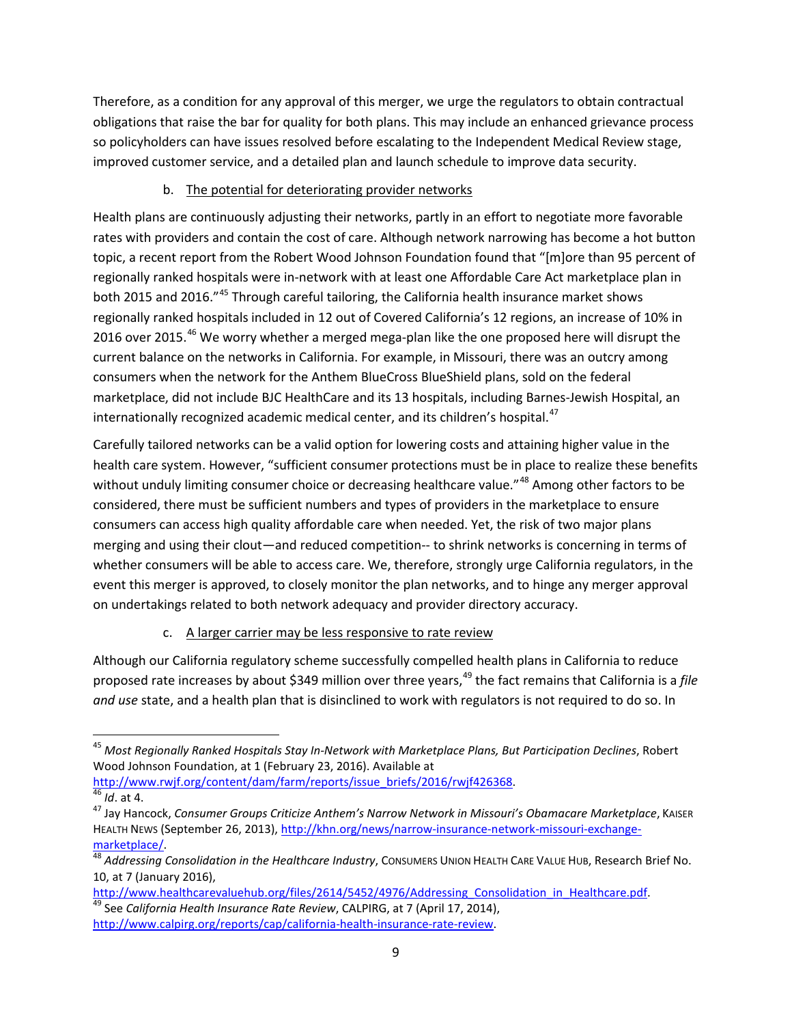Therefore, as a condition for any approval of this merger, we urge the regulators to obtain contractual obligations that raise the bar for quality for both plans. This may include an enhanced grievance process so policyholders can have issues resolved before escalating to the Independent Medical Review stage, improved customer service, and a detailed plan and launch schedule to improve data security.

## b. The potential for deteriorating provider networks

Health plans are continuously adjusting their networks, partly in an effort to negotiate more favorable rates with providers and contain the cost of care. Although network narrowing has become a hot button topic, a recent report from the Robert Wood Johnson Foundation found that "[m]ore than 95 percent of regionally ranked hospitals were in-network with at least one Affordable Care Act marketplace plan in both 2015 and 2016."<sup>[45](#page-8-0)</sup> Through careful tailoring, the California health insurance market shows regionally ranked hospitals included in 12 out of Covered California's 12 regions, an increase of 10% in 2016 over 2015.<sup>[46](#page-8-1)</sup> We worry whether a merged mega-plan like the one proposed here will disrupt the current balance on the networks in California. For example, in Missouri, there was an outcry among consumers when the network for the Anthem BlueCross BlueShield plans, sold on the federal marketplace, did not include BJC HealthCare and its 13 hospitals, including Barnes-Jewish Hospital, an internationally recognized academic medical center, and its children's hospital.<sup>[47](#page-8-2)</sup>

Carefully tailored networks can be a valid option for lowering costs and attaining higher value in the health care system. However, "sufficient consumer protections must be in place to realize these benefits without unduly limiting consumer choice or decreasing healthcare value."<sup>[48](#page-8-3)</sup> Among other factors to be considered, there must be sufficient numbers and types of providers in the marketplace to ensure consumers can access high quality affordable care when needed. Yet, the risk of two major plans merging and using their clout—and reduced competition-- to shrink networks is concerning in terms of whether consumers will be able to access care. We, therefore, strongly urge California regulators, in the event this merger is approved, to closely monitor the plan networks, and to hinge any merger approval on undertakings related to both network adequacy and provider directory accuracy.

# c. A larger carrier may be less responsive to rate review

Although our California regulatory scheme successfully compelled health plans in California to reduce proposed rate increases by about \$3[49](#page-8-4) million over three years,<sup>49</sup> the fact remains that California is a *file and use* state, and a health plan that is disinclined to work with regulators is not required to do so. In

l

<span id="page-8-0"></span><sup>45</sup> *Most Regionally Ranked Hospitals Stay In-Network with Marketplace Plans, But Participation Declines*, Robert Wood Johnson Foundation, at 1 (February 23, 2016). Available at

<span id="page-8-2"></span><span id="page-8-1"></span>[http://www.rwjf.org/content/dam/farm/reports/issue\\_briefs/2016/rwjf426368.](http://www.rwjf.org/content/dam/farm/reports/issue_briefs/2016/rwjf426368) 46 *Id.* at 4. 47 *Id.* at 4. 47 Jay Hancock, *Consumer Groups Criticize Anthem's Narrow Network in Missouri's Obamacare Marketplace, KAISER* HEALTH NEWS (September 26, 2013)[, http://khn.org/news/narrow-insurance-network-missouri-exchange-](http://khn.org/news/narrow-insurance-network-missouri-exchange-marketplace/)

<span id="page-8-3"></span>[marketplace/. 48](http://khn.org/news/narrow-insurance-network-missouri-exchange-marketplace/) *Addressing Consolidation in the Healthcare Industry*, CONSUMERS UNION HEALTH CARE VALUE HUB, Research Brief No. 10, at 7 (January 2016),

<span id="page-8-4"></span>[http://www.healthcarevaluehub.org/files/2614/5452/4976/Addressing\\_Consolidation\\_in\\_Healthcare.pdf.](http://www.healthcarevaluehub.org/files/2614/5452/4976/Addressing_Consolidation_in_Healthcare.pdf) [49](http://www.healthcarevaluehub.org/files/2614/5452/4976/Addressing_Consolidation_in_Healthcare.pdf) See *California Health Insurance Rate Review*, CALPIRG, at 7 (April 17, 2014), [http://www.calpirg.org/reports/cap/california-health-insurance-rate-review.](http://www.calpirg.org/reports/cap/california-health-insurance-rate-review)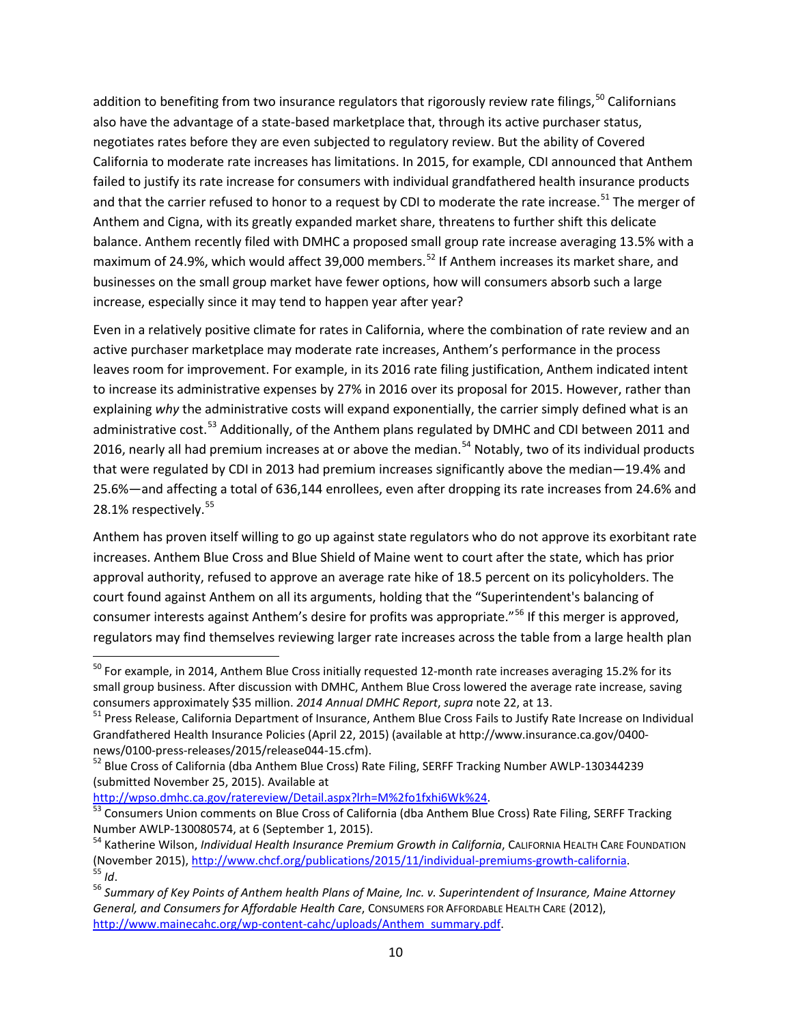addition to benefiting from two insurance regulators that rigorously review rate filings,<sup>[50](#page-9-0)</sup> Californians also have the advantage of a state-based marketplace that, through its active purchaser status, negotiates rates before they are even subjected to regulatory review. But the ability of Covered California to moderate rate increases has limitations. In 2015, for example, CDI announced that Anthem failed to justify its rate increase for consumers with individual grandfathered health insurance products and that the carrier refused to honor to a request by CDI to moderate the rate increase.<sup>[51](#page-9-1)</sup> The merger of Anthem and Cigna, with its greatly expanded market share, threatens to further shift this delicate balance. Anthem recently filed with DMHC a proposed small group rate increase averaging 13.5% with a maximum of 24.9%, which would affect 39,000 members.<sup>[52](#page-9-2)</sup> If Anthem increases its market share, and businesses on the small group market have fewer options, how will consumers absorb such a large increase, especially since it may tend to happen year after year?

Even in a relatively positive climate for rates in California, where the combination of rate review and an active purchaser marketplace may moderate rate increases, Anthem's performance in the process leaves room for improvement. For example, in its 2016 rate filing justification, Anthem indicated intent to increase its administrative expenses by 27% in 2016 over its proposal for 2015. However, rather than explaining *why* the administrative costs will expand exponentially, the carrier simply defined what is an administrative cost.<sup>[53](#page-9-3)</sup> Additionally, of the Anthem plans regulated by DMHC and CDI between 2011 and 2016, nearly all had premium increases at or above the median.<sup>[54](#page-9-4)</sup> Notably, two of its individual products that were regulated by CDI in 2013 had premium increases significantly above the median—19.4% and 25.6%—and affecting a total of 636,144 enrollees, even after dropping its rate increases from 24.6% and 28.1% respectively. [55](#page-9-5)

Anthem has proven itself willing to go up against state regulators who do not approve its exorbitant rate increases. Anthem Blue Cross and Blue Shield of Maine went to court after the state, which has prior approval authority, refused to approve an average rate hike of 18.5 percent on its policyholders. The court found against Anthem on all its arguments, holding that the "Superintendent's balancing of consumer interests against Anthem's desire for profits was appropriate."[56](#page-9-6) If this merger is approved, regulators may find themselves reviewing larger rate increases across the table from a large health plan

<span id="page-9-0"></span> $^{50}$  For example, in 2014, Anthem Blue Cross initially requested 12-month rate increases averaging 15.2% for its small group business. After discussion with DMHC, Anthem Blue Cross lowered the average rate increase, saving<br>consumers approximately \$35 million. 2014 Annual DMHC Report, supra note 22, at 13.

<span id="page-9-1"></span><sup>&</sup>lt;sup>51</sup> Press Release, California Department of Insurance, Anthem Blue Cross Fails to Justify Rate Increase on Individual Grandfathered Health Insurance Policies (April 22, 2015) (available at http://www.insurance.ca.gov/0400-

<span id="page-9-2"></span>news/0100-press-releases/2015/release044-15.cfm).<br><sup>52</sup> Blue Cross of California (dba Anthem Blue Cross) Rate Filing, SERFF Tracking Number AWLP-130344239 (submitted November 25, 2015). Available at<br>http://wpso.dmhc.ca.gov/ratereview/Detail.aspx?lrh=M%2fo1fxhi6Wk%24.

<span id="page-9-3"></span>[<sup>53</sup>](http://wpso.dmhc.ca.gov/ratereview/Detail.aspx?lrh=M%2fo1fxhi6Wk%24) Consumers Union comments on Blue Cross of California (dba Anthem Blue Cross) Rate Filing, SERFF Tracking

<span id="page-9-4"></span>Number AWLP-130080574, at 6 (September 1, 2015).<br><sup>54</sup> Katherine Wilson, *Individual Health Insurance Premium Growth in California*, CALIFORNIA HEALTH CARE FOUNDATION<br>(November 2015), http://www.chcf.org/publications/2015/1 <sup>55</sup> Id.<br><sup>56</sup> Summary of Key Points of Anthem health Plans of Maine, Inc. v. Superintendent of Insurance, Maine Attorney

<span id="page-9-6"></span><span id="page-9-5"></span>*General, and Consumers for Affordable Health Care*, CONSUMERS FOR AFFORDABLE HEALTH CARE (2012), http://www.mainecahc.org/wp-content-cahc/uploads/Anthem\_summary.pdf.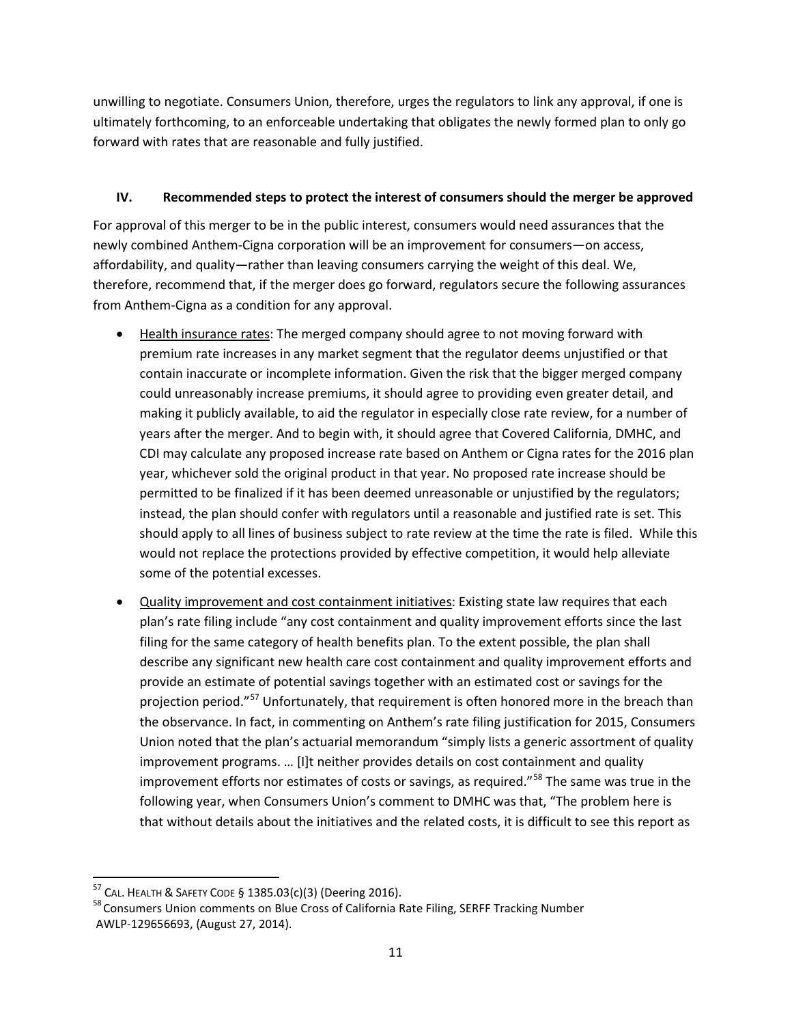unwilling to negotiate. Consumers Union, therefore, urges the regulators to link any approval, if one is ultimately forthcoming, to an enforceable undertaking that obligates the newly formed plan to only go forward with rates that are reasonable and fully justified.

### **IV. Recommended steps to protect the interest of consumers should the merger be approved**

For approval of this merger to be in the public interest, consumers would need assurances that the newly combined Anthem-Cigna corporation will be an improvement for consumers—on access, affordability, and quality—rather than leaving consumers carrying the weight of this deal. We, therefore, recommend that, if the merger does go forward, regulators secure the following assurances from Anthem-Cigna as a condition for any approval.

- Health insurance rates: The merged company should agree to not moving forward with premium rate increases in any market segment that the regulator deems unjustified or that contain inaccurate or incomplete information. Given the risk that the bigger merged company could unreasonably increase premiums, it should agree to providing even greater detail, and making it publicly available, to aid the regulator in especially close rate review, for a number of years after the merger. And to begin with, it should agree that Covered California, DMHC, and CDI may calculate any proposed increase rate based on Anthem or Cigna rates for the 2016 plan year, whichever sold the original product in that year. No proposed rate increase should be permitted to be finalized if it has been deemed unreasonable or unjustified by the regulators; instead, the plan should confer with regulators until a reasonable and justified rate is set. This should apply to all lines of business subject to rate review at the time the rate is filed. While this would not replace the protections provided by effective competition, it would help alleviate some of the potential excesses.
- Quality improvement and cost containment initiatives: Existing state law requires that each plan's rate filing include "any cost containment and quality improvement efforts since the last filing for the same category of health benefits plan. To the extent possible, the plan shall describe any significant new health care cost containment and quality improvement efforts and provide an estimate of potential savings together with an estimated cost or savings for the projection period."<sup>[57](#page-10-0)</sup> Unfortunately, that requirement is often honored more in the breach than the observance. In fact, in commenting on Anthem's rate filing justification for 2015, Consumers Union noted that the plan's actuarial memorandum "simply lists a generic assortment of quality improvement programs. … [I]t neither provides details on cost containment and quality improvement efforts nor estimates of costs or savings, as required."<sup>[58](#page-10-1)</sup> The same was true in the following year, when Consumers Union's comment to DMHC was that, "The problem here is that without details about the initiatives and the related costs, it is difficult to see this report as

<span id="page-10-0"></span><sup>&</sup>lt;sup>57</sup> CAL. HEALTH & SAFETY CODE § 1385.03(c)(3) (Deering 2016).

<span id="page-10-1"></span><sup>&</sup>lt;sup>58</sup> Consumers Union comments on Blue Cross of California Rate Filing, SERFF Tracking Number AWLP-129656693, (August 27, 2014).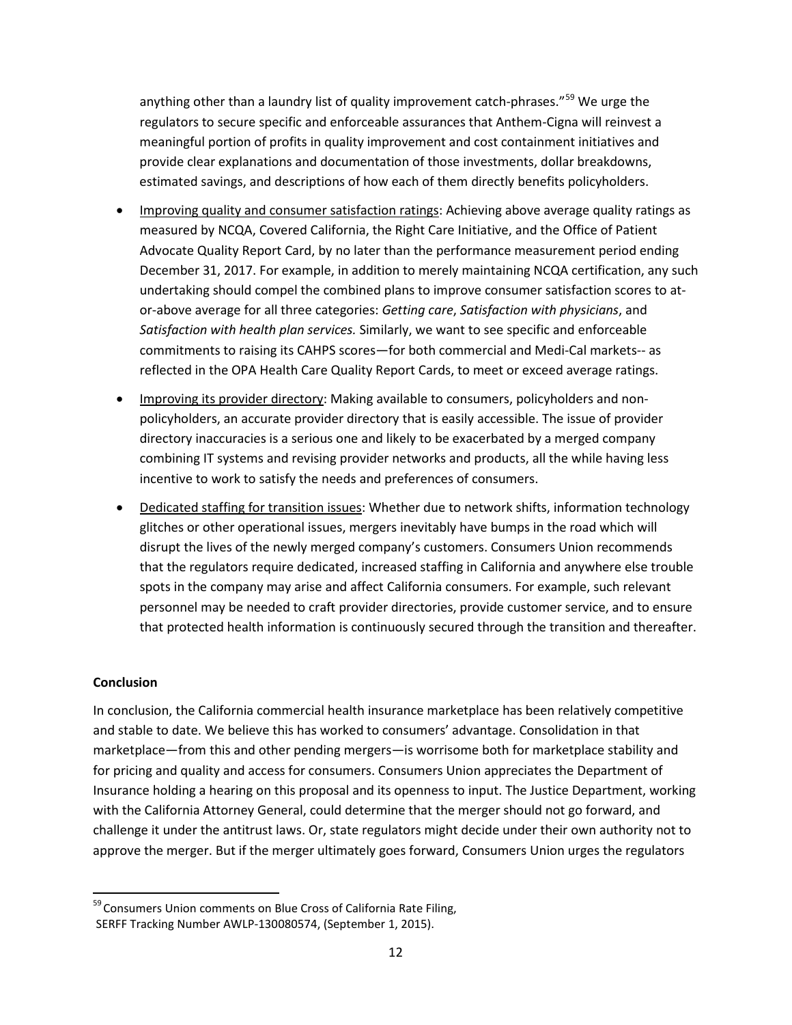anything other than a laundry list of quality improvement catch-phrases."<sup>[59](#page-11-0)</sup> We urge the regulators to secure specific and enforceable assurances that Anthem-Cigna will reinvest a meaningful portion of profits in quality improvement and cost containment initiatives and provide clear explanations and documentation of those investments, dollar breakdowns, estimated savings, and descriptions of how each of them directly benefits policyholders.

- Improving quality and consumer satisfaction ratings: Achieving above average quality ratings as measured by NCQA, Covered California, the Right Care Initiative, and the Office of Patient Advocate Quality Report Card, by no later than the performance measurement period ending December 31, 2017. For example, in addition to merely maintaining NCQA certification, any such undertaking should compel the combined plans to improve consumer satisfaction scores to ator-above average for all three categories: *Getting care*, *Satisfaction with physicians*, and *Satisfaction with health plan services.* Similarly, we want to see specific and enforceable commitments to raising its CAHPS scores—for both commercial and Medi-Cal markets-- as reflected in the OPA Health Care Quality Report Cards, to meet or exceed average ratings.
- Improving its provider directory: Making available to consumers, policyholders and nonpolicyholders, an accurate provider directory that is easily accessible. The issue of provider directory inaccuracies is a serious one and likely to be exacerbated by a merged company combining IT systems and revising provider networks and products, all the while having less incentive to work to satisfy the needs and preferences of consumers.
- Dedicated staffing for transition issues: Whether due to network shifts, information technology glitches or other operational issues, mergers inevitably have bumps in the road which will disrupt the lives of the newly merged company's customers. Consumers Union recommends that the regulators require dedicated, increased staffing in California and anywhere else trouble spots in the company may arise and affect California consumers. For example, such relevant personnel may be needed to craft provider directories, provide customer service, and to ensure that protected health information is continuously secured through the transition and thereafter.

#### **Conclusion**

 $\overline{\phantom{a}}$ 

In conclusion, the California commercial health insurance marketplace has been relatively competitive and stable to date. We believe this has worked to consumers' advantage. Consolidation in that marketplace—from this and other pending mergers—is worrisome both for marketplace stability and for pricing and quality and access for consumers. Consumers Union appreciates the Department of Insurance holding a hearing on this proposal and its openness to input. The Justice Department, working with the California Attorney General, could determine that the merger should not go forward, and challenge it under the antitrust laws. Or, state regulators might decide under their own authority not to approve the merger. But if the merger ultimately goes forward, Consumers Union urges the regulators

<span id="page-11-0"></span><sup>&</sup>lt;sup>59</sup> Consumers Union comments on Blue Cross of California Rate Filing, SERFF Tracking Number AWLP-130080574, (September 1, 2015).